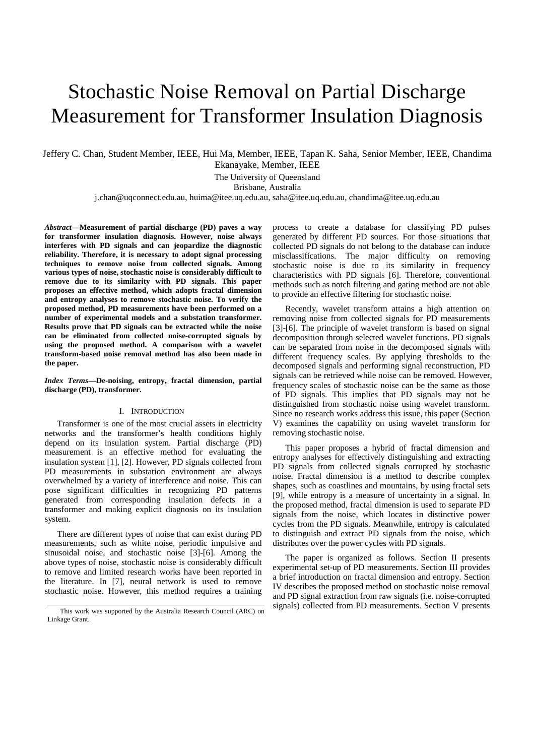# Stochastic Noise Removal on Partial Discharge Measurement for Transformer Insulation Diagnosis

Jeffery C. Chan, Student Member, IEEE, Hui Ma, Member, IEEE, Tapan K. Saha, Senior Member, IEEE, Chandima Ekanayake, Member, IEEE

The University of Queensland

Brisbane, Australia

j.chan@uqconnect.edu.au, huima@itee.uq.edu.au, saha@itee.uq.edu.au, chandima@itee.uq.edu.au

*Abstract***—Measurement of partial discharge (PD) paves a way for transformer insulation diagnosis. However, noise always interferes with PD signals and can jeopardize the diagnostic reliability. Therefore, it is necessary to adopt signal processing techniques to remove noise from collected signals. Among various types of noise, stochastic noise is considerably difficult to remove due to its similarity with PD signals. This paper proposes an effective method, which adopts fractal dimension and entropy analyses to remove stochastic noise. To verify the proposed method, PD measurements have been performed on a number of experimental models and a substation transformer. Results prove that PD signals can be extracted while the noise can be eliminated from collected noise-corrupted signals by using the proposed method. A comparison with a wavelet transform-based noise removal method has also been made in the paper.** 

*Index Terms***—De-noising, entropy, fractal dimension, partial discharge (PD), transformer.** 

# I. INTRODUCTION

Transformer is one of the most crucial assets in electricity networks and the transformer's health conditions highly depend on its insulation system. Partial discharge (PD) measurement is an effective method for evaluating the insulation system [1], [2]. However, PD signals collected from PD measurements in substation environment are always overwhelmed by a variety of interference and noise. This can pose significant difficulties in recognizing PD patterns generated from corresponding insulation defects in a transformer and making explicit diagnosis on its insulation system.

There are different types of noise that can exist during PD measurements, such as white noise, periodic impulsive and sinusoidal noise, and stochastic noise [3]-[6]. Among the above types of noise, stochastic noise is considerably difficult to remove and limited research works have been reported in the literature. In [7], neural network is used to remove stochastic noise. However, this method requires a training process to create a database for classifying PD pulses generated by different PD sources. For those situations that collected PD signals do not belong to the database can induce misclassifications. The major difficulty on removing stochastic noise is due to its similarity in frequency characteristics with PD signals [6]. Therefore, conventional methods such as notch filtering and gating method are not able to provide an effective filtering for stochastic noise.

Recently, wavelet transform attains a high attention on removing noise from collected signals for PD measurements [3]-[6]. The principle of wavelet transform is based on signal decomposition through selected wavelet functions. PD signals can be separated from noise in the decomposed signals with different frequency scales. By applying thresholds to the decomposed signals and performing signal reconstruction, PD signals can be retrieved while noise can be removed. However, frequency scales of stochastic noise can be the same as those of PD signals. This implies that PD signals may not be distinguished from stochastic noise using wavelet transform. Since no research works address this issue, this paper (Section V) examines the capability on using wavelet transform for removing stochastic noise.

This paper proposes a hybrid of fractal dimension and entropy analyses for effectively distinguishing and extracting PD signals from collected signals corrupted by stochastic noise. Fractal dimension is a method to describe complex shapes, such as coastlines and mountains, by using fractal sets [9], while entropy is a measure of uncertainty in a signal. In the proposed method, fractal dimension is used to separate PD signals from the noise, which locates in distinctive power cycles from the PD signals. Meanwhile, entropy is calculated to distinguish and extract PD signals from the noise, which distributes over the power cycles with PD signals.

The paper is organized as follows. Section II presents experimental set-up of PD measurements. Section III provides a brief introduction on fractal dimension and entropy. Section IV describes the proposed method on stochastic noise removal and PD signal extraction from raw signals (i.e. noise-corrupted signals) collected from PD measurements. Section V presents

This work was supported by the Australia Research Council (ARC) on Linkage Grant.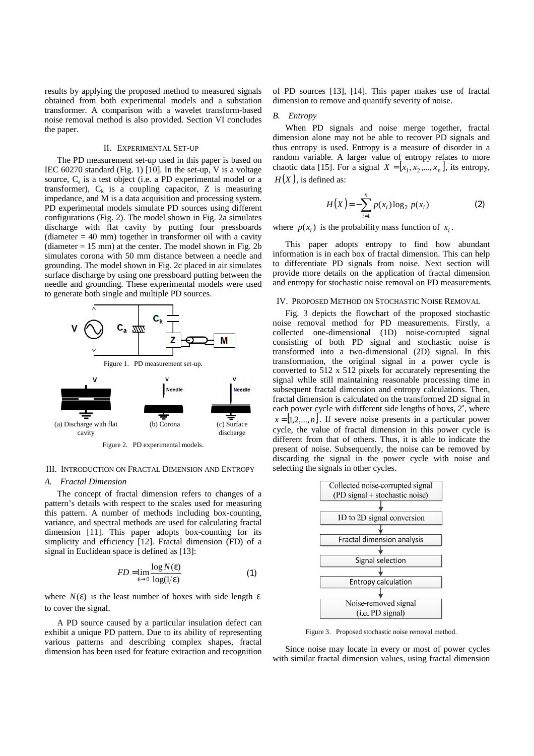results by applying the proposed method to measured signals obtained from both experimental models and a substation transformer. A comparison with a wavelet transform-based noise removal method is also provided. Section VI concludes the paper.

#### II. EXPERIMENTAL SET-UP

The PD measurement set-up used in this paper is based on IEC 60270 standard (Fig. 1) [10]. In the set-up, V is a voltage source, C<sub>a</sub> is a test object (i.e. a PD experimental model or a transformer),  $C_k$  is a coupling capacitor, Z is measuring impedance, and M is a data acquisition and processing system. PD experimental models simulate PD sources using different configurations (Fig. 2). The model shown in Fig. 2a simulates discharge with flat cavity by putting four pressboards (diameter  $= 40$  mm) together in transformer oil with a cavity (diameter  $= 15$  mm) at the center. The model shown in Fig. 2b simulates corona with 50 mm distance between a needle and grounding. The model shown in Fig. 2c placed in air simulates surface discharge by using one pressboard putting between the needle and grounding. These experimental models were used to generate both single and multiple PD sources.



## III. INTRODUCTION ON FRACTAL DIMENSION AND ENTROPY

### *A. Fractal Dimension*

The concept of fractal dimension refers to changes of a pattern's details with respect to the scales used for measuring this pattern. A number of methods including box-counting, variance, and spectral methods are used for calculating fractal dimension [11]. This paper adopts box-counting for its simplicity and efficiency [12]. Fractal dimension (FD) of a signal in Euclidean space is defined as [13]:

$$
FD = \lim_{\varepsilon \to 0} \frac{\log N(\varepsilon)}{\log(1/\varepsilon)}
$$
 (1)

where  $N(\varepsilon)$  is the least number of boxes with side length  $\varepsilon$ to cover the signal.

A PD source caused by a particular insulation defect can exhibit a unique PD pattern. Due to its ability of representing various patterns and describing complex shapes, fractal dimension has been used for feature extraction and recognition of PD sources [13], [14]. This paper makes use of fractal dimension to remove and quantify severity of noise.

# *B. Entropy*

When PD signals and noise merge together, fractal dimension alone may not be able to recover PD signals and thus entropy is used. Entropy is a measure of disorder in a random variable. A larger value of entropy relates to more chaotic data [15]. For a signal  $X = [x_1, x_2, ..., x_n]$ , its entropy,  $H(X)$ , is defined as:

$$
H(X) = -\sum_{i=1}^{n} p(x_i) \log_2 p(x_i)
$$
 (2)

where  $p(x_i)$  is the probability mass function of  $x_i$ .

This paper adopts entropy to find how abundant information is in each box of fractal dimension. This can help to differentiate PD signals from noise. Next section will provide more details on the application of fractal dimension and entropy for stochastic noise removal on PD measurements.

# IV. PROPOSED METHOD ON STOCHASTIC NOISE REMOVAL

Fig. 3 depicts the flowchart of the proposed stochastic noise removal method for PD measurements. Firstly, a collected one-dimensional (1D) noise-corrupted signal consisting of both PD signal and stochastic noise is transformed into a two-dimensional (2D) signal. In this transformation, the original signal in a power cycle is converted to 512 x 512 pixels for accurately representing the signal while still maintaining reasonable processing time in subsequent fractal dimension and entropy calculations. Then, fractal dimension is calculated on the transformed 2D signal in each power cycle with different side lengths of boxs,  $2^x$ , where  $x = \begin{bmatrix} 1, 2, ..., n \end{bmatrix}$ . If severe noise presents in a particular power cycle, the value of fractal dimension in this power cycle is different from that of others. Thus, it is able to indicate the present of noise. Subsequently, the noise can be removed by discarding the signal in the power cycle with noise and selecting the signals in other cycles.



Figure 3. Proposed stochastic noise removal method.

Since noise may locate in every or most of power cycles with similar fractal dimension values, using fractal dimension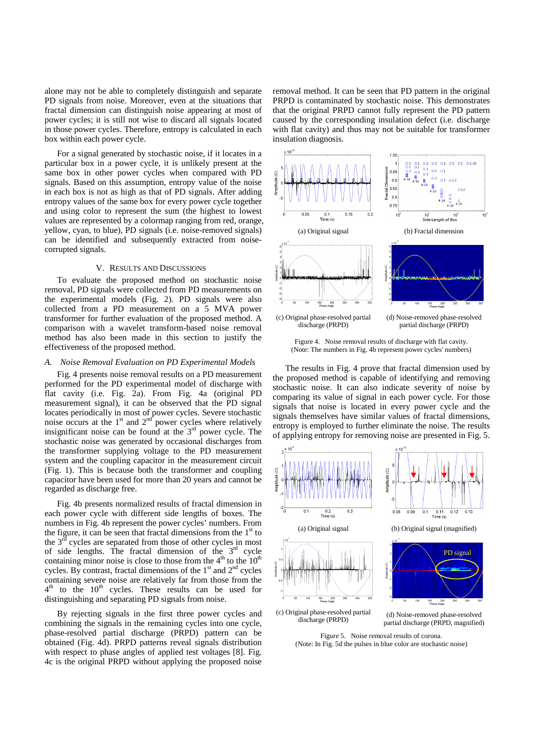alone may not be able to completely distinguish and separate PD signals from noise. Moreover, even at the situations that fractal dimension can distinguish noise appearing at most of power cycles; it is still not wise to discard all signals located in those power cycles. Therefore, entropy is calculated in each box within each power cycle.

For a signal generated by stochastic noise, if it locates in a particular box in a power cycle, it is unlikely present at the same box in other power cycles when compared with PD signals. Based on this assumption, entropy value of the noise in each box is not as high as that of PD signals. After adding entropy values of the same box for every power cycle together and using color to represent the sum (the highest to lowest values are represented by a colormap ranging from red, orange, yellow, cyan, to blue), PD signals (i.e. noise-removed signals) can be identified and subsequently extracted from noisecorrupted signals.

#### V. RESULTS AND DISCUSSIONS

To evaluate the proposed method on stochastic noise removal, PD signals were collected from PD measurements on the experimental models (Fig. 2). PD signals were also collected from a PD measurement on a 5 MVA power transformer for further evaluation of the proposed method. A comparison with a wavelet transform-based noise removal method has also been made in this section to justify the effectiveness of the proposed method.

## *A. Noise Removal Evaluation on PD Experimental Models*

Fig. 4 presents noise removal results on a PD measurement performed for the PD experimental model of discharge with flat cavity (i.e. Fig. 2a). From Fig. 4a (original PD measurement signal), it can be observed that the PD signal locates periodically in most of power cycles. Severe stochastic noise occurs at the  $1<sup>st</sup>$  and  $2<sup>nd</sup>$  power cycles where relatively insignificant noise can be found at the  $3<sup>rd</sup>$  power cycle. The stochastic noise was generated by occasional discharges from the transformer supplying voltage to the PD measurement system and the coupling capacitor in the measurement circuit (Fig. 1). This is because both the transformer and coupling capacitor have been used for more than 20 years and cannot be regarded as discharge free.

Fig. 4b presents normalized results of fractal dimension in each power cycle with different side lengths of boxes. The numbers in Fig. 4b represent the power cycles' numbers. From the figure, it can be seen that fractal dimensions from the  $1<sup>st</sup>$  to the  $3<sup>rd</sup>$  cycles are separated from those of other cycles in most of side lengths. The fractal dimension of the  $3<sup>rd</sup>$  cycle containing minor noise is close to those from the  $4<sup>th</sup>$  to the  $10<sup>th</sup>$ cycles. By contrast, fractal dimensions of the  $1<sup>st</sup>$  and  $2<sup>nd</sup>$  cycles containing severe noise are relatively far from those from the 4<sup>th</sup> to the 10<sup>th</sup> cycles. These results can be used for distinguishing and separating PD signals from noise.

By rejecting signals in the first three power cycles and combining the signals in the remaining cycles into one cycle, phase-resolved partial discharge (PRPD) pattern can be obtained (Fig. 4d). PRPD patterns reveal signals distribution with respect to phase angles of applied test voltages [8]. Fig. 4c is the original PRPD without applying the proposed noise removal method. It can be seen that PD pattern in the original PRPD is contaminated by stochastic noise. This demonstrates that the original PRPD cannot fully represent the PD pattern caused by the corresponding insulation defect (i.e. discharge with flat cavity) and thus may not be suitable for transformer insulation diagnosis.



Figure 4. Noise removal results of discharge with flat cavity. (Note: The numbers in Fig. 4b represent power cycles' numbers)

The results in Fig. 4 prove that fractal dimension used by the proposed method is capable of identifying and removing stochastic noise. It can also indicate severity of noise by comparing its value of signal in each power cycle. For those signals that noise is located in every power cycle and the signals themselves have similar values of fractal dimensions, entropy is employed to further eliminate the noise. The results of applying entropy for removing noise are presented in Fig. 5.



Figure 5. Noise removal results of corona. (Note: In Fig. 5d the pulses in blue color are stochastic noise)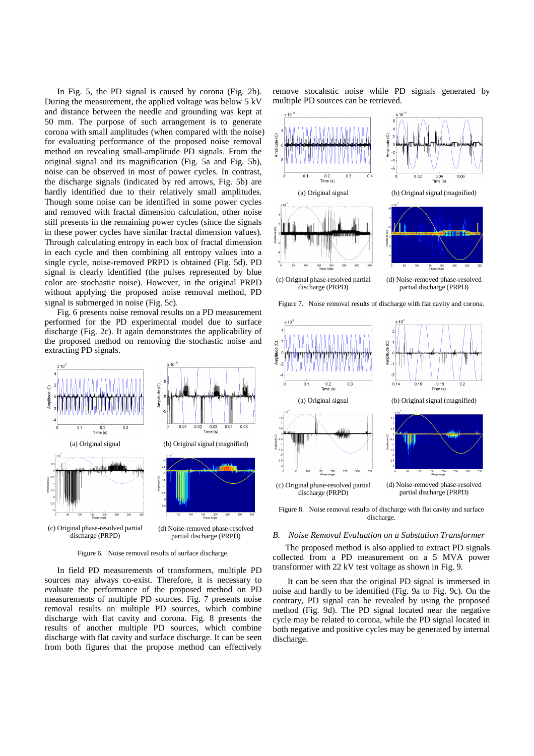In Fig. 5, the PD signal is caused by corona (Fig. 2b). During the measurement, the applied voltage was below 5 kV and distance between the needle and grounding was kept at 50 mm. The purpose of such arrangement is to generate corona with small amplitudes (when compared with the noise) for evaluating performance of the proposed noise removal method on revealing small-amplitude PD signals. From the original signal and its magnification (Fig. 5a and Fig. 5b), noise can be observed in most of power cycles. In contrast, the discharge signals (indicated by red arrows, Fig. 5b) are hardly identified due to their relatively small amplitudes. Though some noise can be identified in some power cycles and removed with fractal dimension calculation, other noise still presents in the remaining power cycles (since the signals in these power cycles have similar fractal dimension values). Through calculating entropy in each box of fractal dimension in each cycle and then combining all entropy values into a single cycle, noise-removed PRPD is obtained (Fig. 5d). PD signal is clearly identified (the pulses represented by blue color are stochastic noise). However, in the original PRPD without applying the proposed noise removal method, PD signal is submerged in noise (Fig. 5c).

Fig. 6 presents noise removal results on a PD measurement performed for the PD experimental model due to surface discharge (Fig. 2c). It again demonstrates the applicability of the proposed method on removing the stochastic noise and extracting PD signals.



Figure 6. Noise removal results of surface discharge.

In field PD measurements of transformers, multiple PD sources may always co-exist. Therefore, it is necessary to evaluate the performance of the proposed method on PD measurements of multiple PD sources. Fig. 7 presents noise removal results on multiple PD sources, which combine discharge with flat cavity and corona. Fig. 8 presents the results of another multiple PD sources, which combine discharge with flat cavity and surface discharge. It can be seen from both figures that the propose method can effectively

remove stocahstic noise while PD signals generated by multiple PD sources can be retrieved.



discharge.

# *B. Noise Removal Evaluation on a Substation Transformer*

The proposed method is also applied to extract PD signals collected from a PD measurement on a 5 MVA power transformer with 22 kV test voltage as shown in Fig. 9.

 It can be seen that the original PD signal is immersed in noise and hardly to be identified (Fig. 9a to Fig. 9c). On the contrary, PD signal can be revealed by using the proposed method (Fig. 9d). The PD signal located near the negative cycle may be related to corona, while the PD signal located in both negative and positive cycles may be generated by internal discharge.